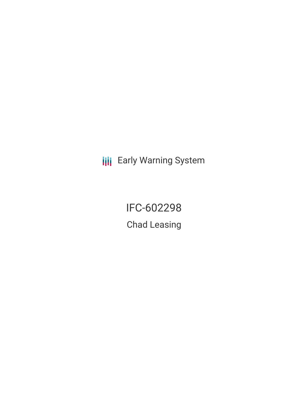**III** Early Warning System

IFC-602298 Chad Leasing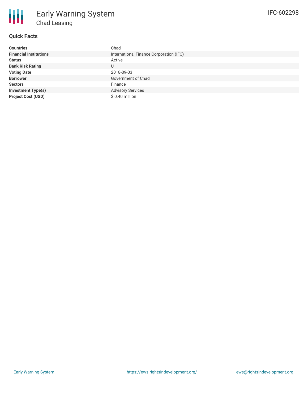

## **Quick Facts**

| <b>Countries</b>              | Chad                                    |
|-------------------------------|-----------------------------------------|
| <b>Financial Institutions</b> | International Finance Corporation (IFC) |
| <b>Status</b>                 | Active                                  |
| <b>Bank Risk Rating</b>       | U                                       |
| <b>Voting Date</b>            | 2018-09-03                              |
| <b>Borrower</b>               | Government of Chad                      |
| <b>Sectors</b>                | Finance                                 |
| <b>Investment Type(s)</b>     | <b>Advisory Services</b>                |
| <b>Project Cost (USD)</b>     | $$0.40$ million                         |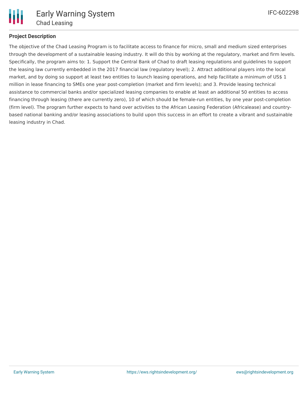

## **Project Description**

The objective of the Chad Leasing Program is to facilitate access to finance for micro, small and medium sized enterprises through the development of a sustainable leasing industry. It will do this by working at the regulatory, market and firm levels. Specifically, the program aims to: 1. Support the Central Bank of Chad to draft leasing regulations and guidelines to support the leasing law currently embedded in the 2017 financial law (regulatory level); 2. Attract additional players into the local market, and by doing so support at least two entities to launch leasing operations, and help facilitate a minimum of US\$ 1 million in lease financing to SMEs one year post-completion (market and firm levels); and 3. Provide leasing technical assistance to commercial banks and/or specialized leasing companies to enable at least an additional 50 entities to access financing through leasing (there are currently zero), 10 of which should be female-run entities, by one year post-completion (firm level). The program further expects to hand over activities to the African Leasing Federation (Africalease) and countrybased national banking and/or leasing associations to build upon this success in an effort to create a vibrant and sustainable leasing industry in Chad.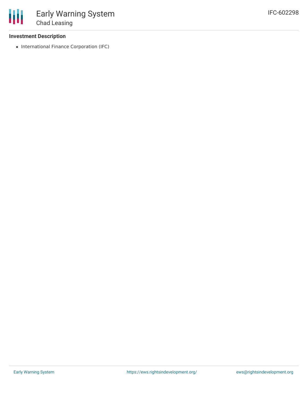### **Investment Description**

• International Finance Corporation (IFC)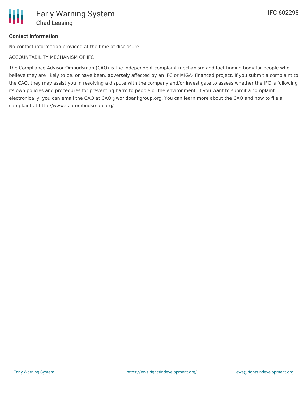# **Contact Information**

No contact information provided at the time of disclosure

ACCOUNTABILITY MECHANISM OF IFC

The Compliance Advisor Ombudsman (CAO) is the independent complaint mechanism and fact-finding body for people who believe they are likely to be, or have been, adversely affected by an IFC or MIGA- financed project. If you submit a complaint to the CAO, they may assist you in resolving a dispute with the company and/or investigate to assess whether the IFC is following its own policies and procedures for preventing harm to people or the environment. If you want to submit a complaint electronically, you can email the CAO at CAO@worldbankgroup.org. You can learn more about the CAO and how to file a complaint at http://www.cao-ombudsman.org/